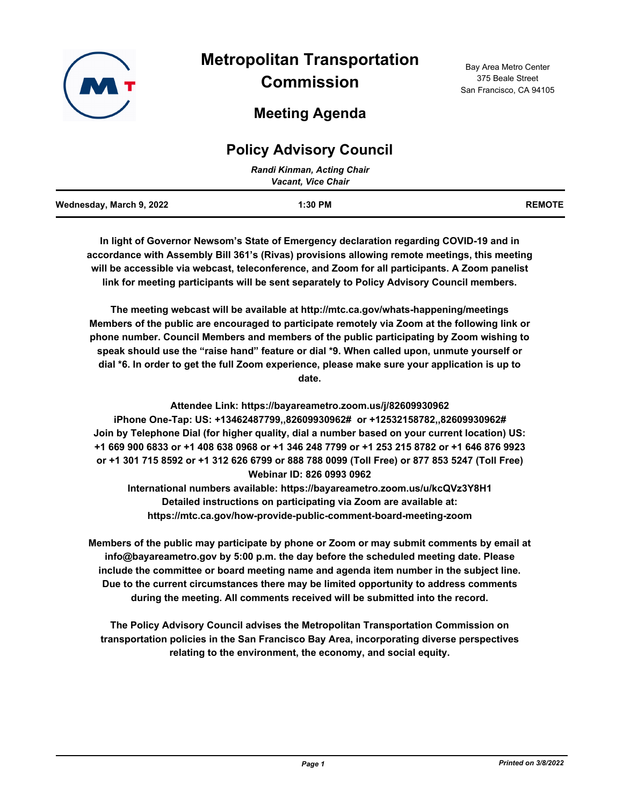

**Meeting Agenda**

## 375 Beale Street San Francisco, CA 94105

Bay Area Metro Center

# **Policy Advisory Council**

| Randi Kinman, Acting Chair<br><b>Vacant, Vice Chair</b> |           |               |
|---------------------------------------------------------|-----------|---------------|
| Wednesday, March 9, 2022                                | $1:30$ PM | <b>REMOTE</b> |

**In light of Governor Newsom's State of Emergency declaration regarding COVID-19 and in accordance with Assembly Bill 361's (Rivas) provisions allowing remote meetings, this meeting will be accessible via webcast, teleconference, and Zoom for all participants. A Zoom panelist link for meeting participants will be sent separately to Policy Advisory Council members.**

**The meeting webcast will be available at http://mtc.ca.gov/whats-happening/meetings Members of the public are encouraged to participate remotely via Zoom at the following link or phone number. Council Members and members of the public participating by Zoom wishing to speak should use the "raise hand" feature or dial \*9. When called upon, unmute yourself or dial \*6. In order to get the full Zoom experience, please make sure your application is up to date.**

**Attendee Link: https://bayareametro.zoom.us/j/82609930962 iPhone One-Tap: US: +13462487799,,82609930962# or +12532158782,,82609930962# Join by Telephone Dial (for higher quality, dial a number based on your current location) US: +1 669 900 6833 or +1 408 638 0968 or +1 346 248 7799 or +1 253 215 8782 or +1 646 876 9923 or +1 301 715 8592 or +1 312 626 6799 or 888 788 0099 (Toll Free) or 877 853 5247 (Toll Free) Webinar ID: 826 0993 0962**

**International numbers available: https://bayareametro.zoom.us/u/kcQVz3Y8H1 Detailed instructions on participating via Zoom are available at: https://mtc.ca.gov/how-provide-public-comment-board-meeting-zoom**

**Members of the public may participate by phone or Zoom or may submit comments by email at info@bayareametro.gov by 5:00 p.m. the day before the scheduled meeting date. Please include the committee or board meeting name and agenda item number in the subject line. Due to the current circumstances there may be limited opportunity to address comments during the meeting. All comments received will be submitted into the record.**

**The Policy Advisory Council advises the Metropolitan Transportation Commission on transportation policies in the San Francisco Bay Area, incorporating diverse perspectives relating to the environment, the economy, and social equity.**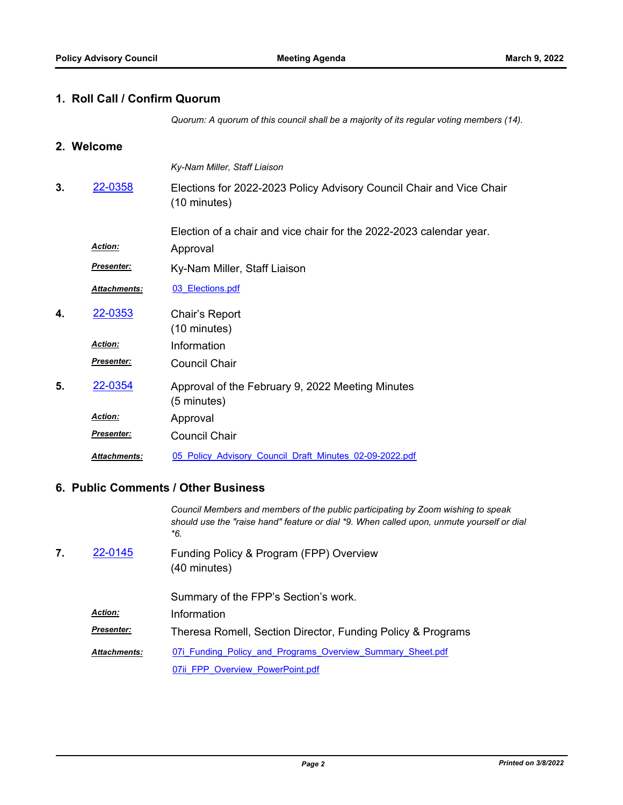#### **1. Roll Call / Confirm Quorum**

*Quorum: A quorum of this council shall be a majority of its regular voting members (14).*

#### **2. Welcome**

*Ky-Nam Miller, Staff Liaison* Elections for 2022-2023 Policy Advisory Council Chair and Vice Chair (10 minutes) Election of a chair and vice chair for the 2022-2023 calendar year. **3.** [22-0358](http://mtc.legistar.com/gateway.aspx?m=l&id=/matter.aspx?key=23617) Approval *Action: Presenter:* Ky-Nam Miller, Staff Liaison *Attachments:* [03\\_Elections.pdf](http://mtc.legistar.com/gateway.aspx?M=F&ID=c6fcf5da-aa84-4a2c-bb5e-e5d175235597.pdf) Chair's Report (10 minutes) **4.** [22-0353](http://mtc.legistar.com/gateway.aspx?m=l&id=/matter.aspx?key=23612) *Action:* Information Council Chair *Presenter:* Approval of the February 9, 2022 Meeting Minutes (5 minutes) **5.** [22-0354](http://mtc.legistar.com/gateway.aspx?m=l&id=/matter.aspx?key=23613) Approval *Action:* Council Chair *Presenter: Attachments:* [05\\_Policy\\_Advisory\\_Council\\_Draft\\_Minutes\\_02-09-2022.pdf](http://mtc.legistar.com/gateway.aspx?M=F&ID=21f74043-e5e1-4f92-ba8b-20e26a02612e.pdf)

#### **6. Public Comments / Other Business**

*Council Members and members of the public participating by Zoom wishing to speak should use the "raise hand" feature or dial \*9. When called upon, unmute yourself or dial \*6.*

Funding Policy & Program (FPP) Overview (40 minutes) **7.** [22-0145](http://mtc.legistar.com/gateway.aspx?m=l&id=/matter.aspx?key=23404)

|                     | Summary of the FPP's Section's work.                        |
|---------------------|-------------------------------------------------------------|
| <b>Action:</b>      | Information                                                 |
| <b>Presenter:</b>   | Theresa Romell, Section Director, Funding Policy & Programs |
| <b>Attachments:</b> | 07i Funding Policy and Programs Overview Summary Sheet.pdf  |
|                     | 07ii FPP Overview PowerPoint.pdf                            |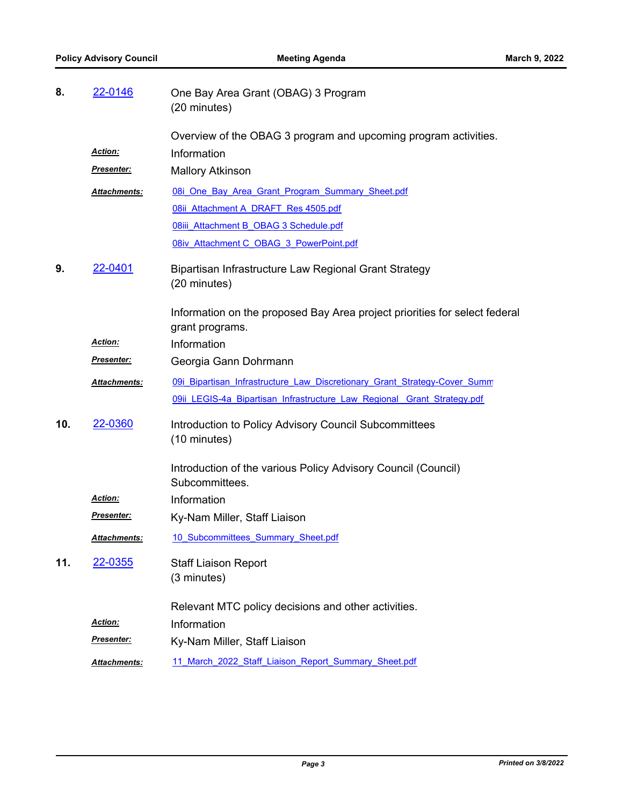| 8.  | 22-0146             | One Bay Area Grant (OBAG) 3 Program<br>(20 minutes)                             |
|-----|---------------------|---------------------------------------------------------------------------------|
|     |                     | Overview of the OBAG 3 program and upcoming program activities.                 |
|     | <b>Action:</b>      | Information                                                                     |
|     | Presenter:          | <b>Mallory Atkinson</b>                                                         |
|     | Attachments:        | 08i One Bay Area Grant Program Summary Sheet.pdf                                |
|     |                     | 08ii Attachment A DRAFT Res 4505.pdf                                            |
|     |                     | O8iii Attachment B OBAG 3 Schedule.pdf                                          |
|     |                     | 08iv Attachment C OBAG 3 PowerPoint.pdf                                         |
| 9.  | 22-0401             | Bipartisan Infrastructure Law Regional Grant Strategy                           |
|     |                     | (20 minutes)                                                                    |
|     |                     | Information on the proposed Bay Area project priorities for select federal      |
|     |                     | grant programs.                                                                 |
|     | Action:             | Information                                                                     |
|     | <u>Presenter:</u>   | Georgia Gann Dohrmann                                                           |
|     | <b>Attachments:</b> | 09i Bipartisan Infrastructure Law Discretionary Grant Strategy-Cover Summ       |
|     |                     | 09ii LEGIS-4a Bipartisan Infrastructure Law Regional Grant Strategy.pdf         |
| 10. | 22-0360             | Introduction to Policy Advisory Council Subcommittees<br>(10 minutes)           |
|     |                     | Introduction of the various Policy Advisory Council (Council)<br>Subcommittees. |
|     | <b>Action:</b>      | Information                                                                     |
|     | <u> Presenter:</u>  | Ky-Nam Miller, Staff Liaison                                                    |
|     | Attachments:        | 10 Subcommittees Summary Sheet.pdf                                              |
| 11. | 22-0355             | <b>Staff Liaison Report</b>                                                     |
|     |                     | (3 minutes)                                                                     |
|     |                     | Relevant MTC policy decisions and other activities.                             |
|     | <b>Action:</b>      | Information                                                                     |
|     | Presenter:          | Ky-Nam Miller, Staff Liaison                                                    |
|     | Attachments:        | 11 March 2022 Staff Liaison Report Summary Sheet.pdf                            |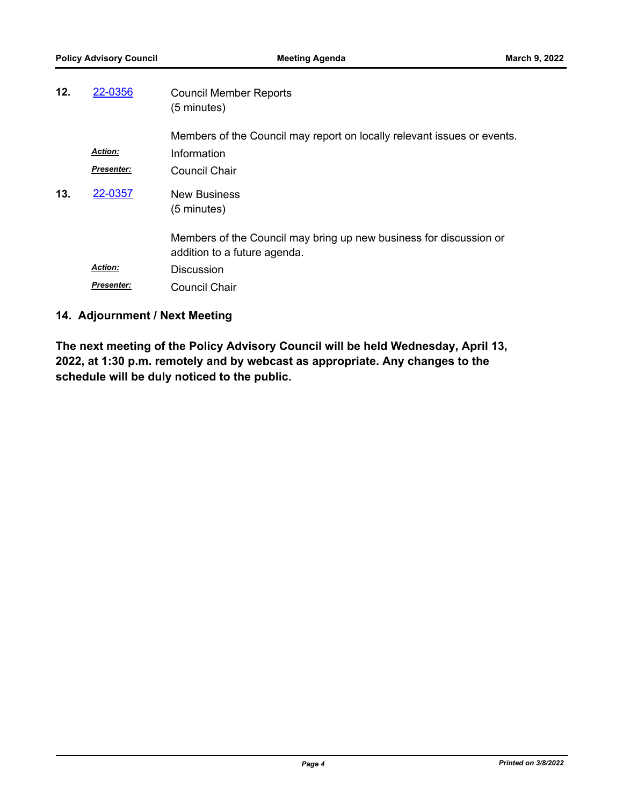| 12. | 22-0356           | <b>Council Member Reports</b><br>(5 minutes)                                                       |
|-----|-------------------|----------------------------------------------------------------------------------------------------|
|     |                   | Members of the Council may report on locally relevant issues or events.                            |
|     | <b>Action:</b>    | Information                                                                                        |
|     | <b>Presenter:</b> | Council Chair                                                                                      |
| 13. | 22-0357           | <b>New Business</b><br>(5 minutes)                                                                 |
|     |                   | Members of the Council may bring up new business for discussion or<br>addition to a future agenda. |
|     | <b>Action:</b>    | <b>Discussion</b>                                                                                  |
|     | <b>Presenter:</b> | <b>Council Chair</b>                                                                               |

### **14. Adjournment / Next Meeting**

**The next meeting of the Policy Advisory Council will be held Wednesday, April 13, 2022, at 1:30 p.m. remotely and by webcast as appropriate. Any changes to the schedule will be duly noticed to the public.**